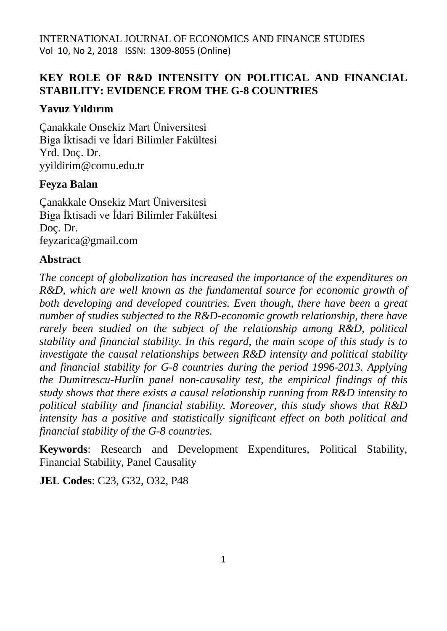# **KEY ROLE OF R&D INTENSITY ON POLITICAL AND FINANCIAL STABILITY: EVIDENCE FROM THE G-8 COUNTRIES**

# **Yavuz Yıldırım**

Çanakkale Onsekiz Mart Üniversitesi Biga İktisadi ve İdari Bilimler Fakültesi Yrd. Doç. Dr. yyildirim@comu.edu.tr

# **Feyza Balan**

Çanakkale Onsekiz Mart Üniversitesi Biga İktisadi ve İdari Bilimler Fakültesi Doç. Dr. feyzarica@gmail.com

# **Abstract**

*The concept of globalization has increased the importance of the expenditures on R&D, which are well known as the fundamental source for economic growth of both developing and developed countries. Even though, there have been a great number of studies subjected to the R&D-economic growth relationship, there have rarely been studied on the subject of the relationship among R&D, political stability and financial stability. In this regard, the main scope of this study is to investigate the causal relationships between R&D intensity and political stability and financial stability for G-8 countries during the period 1996-2013. Applying the Dumitrescu-Hurlin panel non-causality test, the empirical findings of this study shows that there exists a causal relationship running from R&D intensity to political stability and financial stability. Moreover, this study shows that R&D intensity has a positive and statistically significant effect on both political and financial stability of the G-8 countries.*

**Keywords**: Research and Development Expenditures, Political Stability, Financial Stability, Panel Causality

**JEL Codes**: C23, G32, O32, P48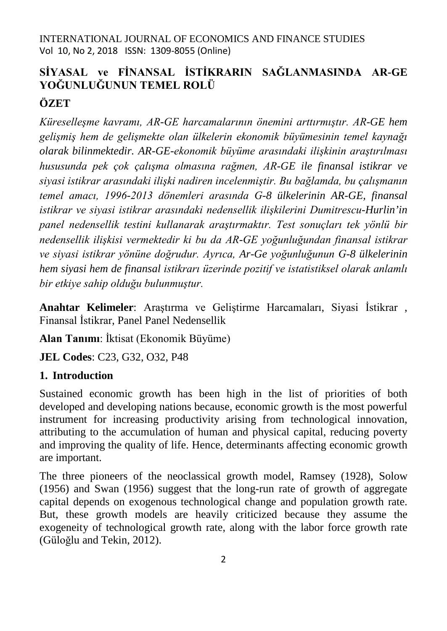# **SİYASAL ve FİNANSAL İSTİKRARIN SAĞLANMASINDA AR-GE YOĞUNLUĞUNUN TEMEL ROLÜ ÖZET**

*Küreselleşme kavramı, AR-GE harcamalarının önemini arttırmıştır. AR-GE hem gelişmiş hem de gelişmekte olan ülkelerin ekonomik büyümesinin temel kaynağı olarak bilinmektedir. AR-GE-ekonomik büyüme arasındaki ilişkinin araştırılması hususunda pek çok çalışma olmasına rağmen, AR-GE ile finansal istikrar ve siyasi istikrar arasındaki ilişki nadiren incelenmiştir. Bu bağlamda, bu çalışmanın temel amacı, 1996-2013 dönemleri arasında G-8 ülkelerinin AR-GE, finansal istikrar ve siyasi istikrar arasındaki nedensellik ilişkilerini Dumitrescu-Hurlin'in panel nedensellik testini kullanarak araştırmaktır. Test sonuçları tek yönlü bir nedensellik ilişkisi vermektedir ki bu da AR-GE yoğunluğundan finansal istikrar ve siyasi istikrar yönüne doğrudur. Ayrıca, Ar-Ge yoğunluğunun G-8 ülkelerinin hem siyasi hem de finansal istikrarı üzerinde pozitif ve istatistiksel olarak anlamlı bir etkiye sahip olduğu bulunmuştur.*

**Anahtar Kelimeler**: Araştırma ve Geliştirme Harcamaları, Siyasi İstikrar , Finansal İstikrar, Panel Panel Nedensellik

**Alan Tanımı**: İktisat (Ekonomik Büyüme)

**JEL Codes**: C23, G32, O32, P48

# **1. Introduction**

Sustained economic growth has been high in the list of priorities of both developed and developing nations because, economic growth is the most powerful instrument for increasing productivity arising from technological innovation, attributing to the accumulation of human and physical capital, reducing poverty and improving the quality of life. Hence, determinants affecting economic growth are important.

The three pioneers of the neoclassical growth model, Ramsey (1928), Solow (1956) and Swan (1956) suggest that the long-run rate of growth of aggregate capital depends on exogenous technological change and population growth rate. But, these growth models are heavily criticized because they assume the exogeneity of technological growth rate, along with the labor force growth rate (Güloğlu and Tekin, 2012).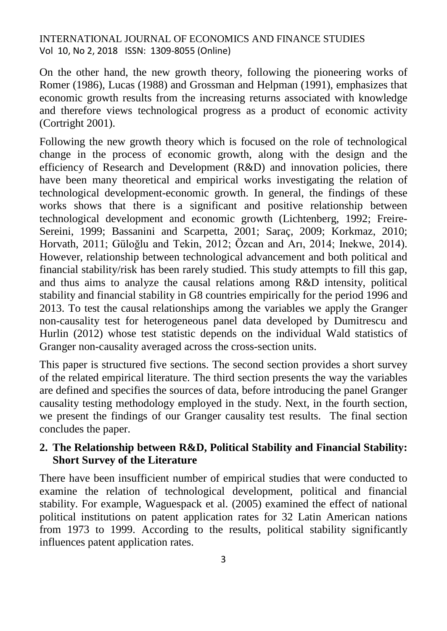On the other hand, the new growth theory, following the pioneering works of Romer (1986), Lucas (1988) and Grossman and Helpman (1991), emphasizes that economic growth results from the increasing returns associated with knowledge and therefore views technological progress as a product of economic activity (Cortright 2001).

Following the new growth theory which is focused on the role of technological change in the process of economic growth, along with the design and the efficiency of Research and Development (R&D) and innovation policies, there have been many theoretical and empirical works investigating the relation of technological development-economic growth. In general, the findings of these works shows that there is a significant and positive relationship between technological development and economic growth (Lichtenberg, 1992; Freire-Sereini, 1999; Bassanini and Scarpetta, 2001; Saraç, 2009; Korkmaz, 2010; Horvath, 2011; Güloğlu and Tekin, 2012; Özcan and Arı, 2014; Inekwe, 2014). However, relationship between technological advancement and both political and financial stability/risk has been rarely studied. This study attempts to fill this gap, and thus aims to analyze the causal relations among R&D intensity, political stability and financial stability in G8 countries empirically for the period 1996 and 2013. To test the causal relationships among the variables we apply the Granger non-causality test for heterogeneous panel data developed by Dumitrescu and Hurlin (2012) whose test statistic depends on the individual Wald statistics of Granger non-causality averaged across the cross-section units.

This paper is structured five sections. The second section provides a short survey of the related empirical literature. The third section presents the way the variables are defined and specifies the sources of data, before introducing the panel Granger causality testing methodology employed in the study. Next, in the fourth section, we present the findings of our Granger causality test results. The final section concludes the paper.

# **2. The Relationship between R&D, Political Stability and Financial Stability: Short Survey of the Literature**

There have been insufficient number of empirical studies that were conducted to examine the relation of technological development, political and financial stability. For example, Waguespack et al. (2005) examined the effect of national political institutions on patent application rates for 32 Latin American nations from 1973 to 1999. According to the results, political stability significantly influences patent application rates.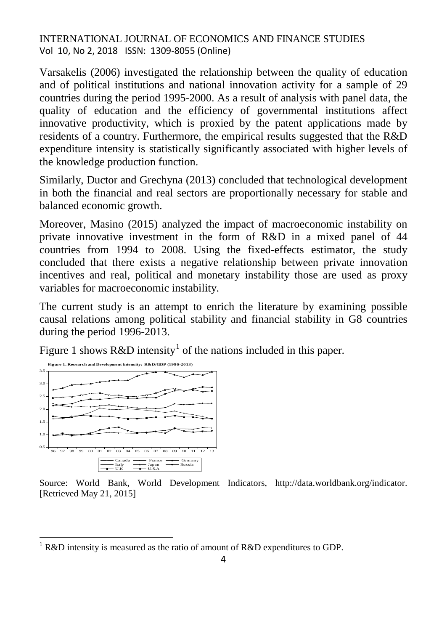Varsakelis (2006) investigated the relationship between the quality of education and of political institutions and national innovation activity for a sample of 29 countries during the period 1995-2000. As a result of analysis with panel data, the quality of education and the efficiency of governmental institutions affect innovative productivity, which is proxied by the patent applications made by residents of a country. Furthermore, the empirical results suggested that the R&D expenditure intensity is statistically significantly associated with higher levels of the knowledge production function.

Similarly, Ductor and Grechyna (2013) concluded that technological development in both the financial and real sectors are proportionally necessary for stable and balanced economic growth.

Moreover, Masino (2015) analyzed the impact of macroeconomic instability on private innovative investment in the form of R&D in a mixed panel of 44 countries from 1994 to 2008. Using the fixed-effects estimator, the study concluded that there exists a negative relationship between private innovation incentives and real, political and monetary instability those are used as proxy variables for macroeconomic instability.

The current study is an attempt to enrich the literature by examining possible causal relations among political stability and financial stability in G8 countries during the period 1996-2013.

Figure [1](#page-3-0) shows  $R&D$  intensity<sup>1</sup> of the nations included in this paper.



 $\overline{a}$ 

Source: World Bank, World Development Indicators, [http://data.worldbank.org/indicator.](http://data.worldbank.org/indicator) [Retrieved May 21, 2015]

<span id="page-3-0"></span><sup>&</sup>lt;sup>1</sup> R&D intensity is measured as the ratio of amount of R&D expenditures to GDP.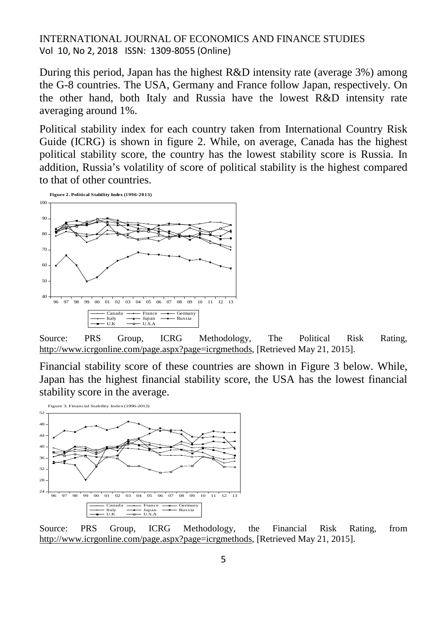During this period, Japan has the highest R&D intensity rate (average 3%) among the G-8 countries. The USA, Germany and France follow Japan, respectively. On the other hand, both Italy and Russia have the lowest R&D intensity rate averaging around 1%.

Political stability index for each country taken from International Country Risk Guide (ICRG) is shown in figure 2. While, on average, Canada has the highest political stability score, the country has the lowest stability score is Russia. In addition, Russia's volatility of score of political stability is the highest compared to that of other countries.



Source: PRS Group, ICRG Methodology, The Political Risk Rating, [http://www.icrgonline.com/page.aspx?page=icrgmethods,](http://www.icrgonline.com/page.aspx?page=icrgmethods) [Retrieved May 21, 2015].

Financial stability score of these countries are shown in Figure 3 below. While, Japan has the highest financial stability score, the USA has the lowest financial stability score in the average.



Source: PRS Group, ICRG Methodology, the Financial Risk Rating, from [http://www.icrgonline.com/page.aspx?page=icrgmethods,](http://www.icrgonline.com/page.aspx?page=icrgmethods) [Retrieved May 21, 2015].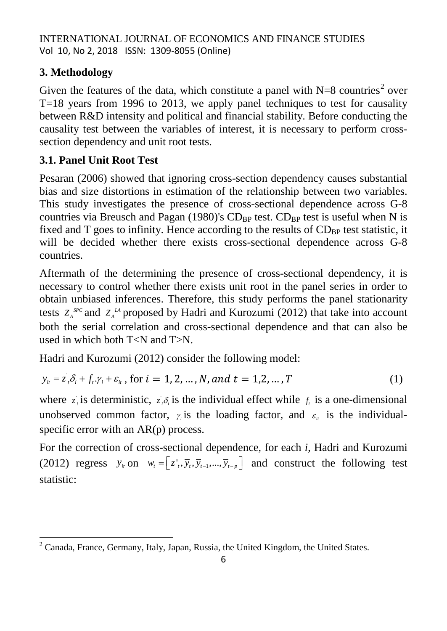# **3. Methodology**

Given the features of the data, which constitute a panel with  $N=8$  countries<sup>[2](#page-5-0)</sup> over T=18 years from 1996 to 2013, we apply panel techniques to test for causality between R&D intensity and political and financial stability. Before conducting the causality test between the variables of interest, it is necessary to perform crosssection dependency and unit root tests.

# **3.1. Panel Unit Root Test**

Pesaran (2006) showed that ignoring cross-section dependency causes substantial bias and size distortions in estimation of the relationship between two variables. This study investigates the presence of cross-sectional dependence across G-8 countries via Breusch and Pagan (1980)'s  $CD_{BP}$  test.  $CD_{BP}$  test is useful when N is fixed and T goes to infinity. Hence according to the results of  $CD_{BP}$  test statistic, it will be decided whether there exists cross-sectional dependence across G-8 countries.

Aftermath of the determining the presence of cross-sectional dependency, it is necessary to control whether there exists unit root in the panel series in order to obtain unbiased inferences. Therefore, this study performs the panel stationarity tests  $Z_A^{SPC}$  and  $Z_A^{AA}$  proposed by Hadri and Kurozumi (2012) that take into account both the serial correlation and cross-sectional dependence and that can also be used in which both T<N and T>N.

Hadri and Kurozumi (2012) consider the following model:

$$
y_{it} = z_i \delta_i + f_t \cdot y_i + \varepsilon_{it}
$$
, for  $i = 1, 2, ..., N$ , and  $t = 1, 2, ..., T$  (1)

where  $z_i$  is deterministic,  $z_i \delta_i$  is the individual effect while  $f_i$  is a one-dimensional unobserved common factor,  $\gamma_i$  is the loading factor, and  $\varepsilon_i$  is the individualspecific error with an AR(p) process.

For the correction of cross-sectional dependence, for each *i*, Hadri and Kurozumi (2012) regress  $y_i$  on  $w_i = [z_i^T, \overline{y}_i, \overline{y}_{i-1}, \dots, \overline{y}_{i-p}]$  and construct the following test statistic:

<span id="page-5-0"></span> $\overline{a}$  $2^2$  Canada, France, Germany, Italy, Japan, Russia, the United Kingdom, the United States.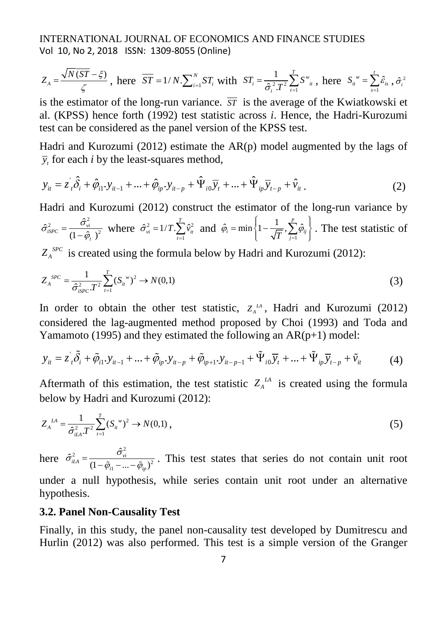$$
Z_A = \frac{\sqrt{N(ST - \xi)}}{\zeta}, \text{ here } \overline{ST} = 1/N \cdot \sum_{i=1}^{N} ST_i \text{ with } ST_i = \frac{1}{\hat{\sigma}_i^2 T^2} \sum_{i=1}^{T} S^w_{ii}, \text{ here } S_{ii}^{\ \ w} = \sum_{s=1}^{t} \hat{\varepsilon}_{is}^{\ \gamma}, \hat{\sigma}_i^2
$$

is the estimator of the long-run variance.  $\overline{ST}$  is the average of the Kwiatkowski et al. (KPSS) hence forth (1992) test statistic across *i*. Hence, the Hadri-Kurozumi test can be considered as the panel version of the KPSS test.

Hadri and Kurozumi (2012) estimate the  $AR(p)$  model augmented by the lags of  $\bar{y}$ , for each *i* by the least-squares method,

$$
y_{it} = z_{it} \hat{\delta}_i + \hat{\varphi}_{i1} y_{it-1} + ... + \hat{\varphi}_{ip} y_{it-p} + \hat{\Psi}_{i0} \overline{y}_t + ... + \hat{\Psi}_{ip} \overline{y}_{t-p} + \hat{v}_{it}.
$$
 (2)

Hadri and Kurozumi (2012) construct the estimator of the long-run variance by 2

 $\hat{\sigma}_{iSPC}^{2} = \frac{\hat{\sigma}_{vi}^{2}}{(1-\hat{\varphi}_{i})^{2}}$  $\hat{\sigma}_{isPC}^2 = \frac{\sigma_{vi}}{(1-\hat{\varphi}_i)^2}$  where  $\hat{\sigma}_{vi}^2 = 1/T \sum_{t=1}^{N} \hat{v}_{it}^2$  $\hat{\sigma}_{vi}^2 = 1/T \cdot \sum_{i}^{T} \hat{v}_{vi}$ *vi it t*  $\hat{\sigma}_{vi}^2 = 1/T$ .  $\sum \hat{v}$  $=1/T \cdot \sum_{i=1}^{T} \hat{v}_{ii}^{2}$  and  $\hat{\varphi}_{i} = \min \left\{1 - \frac{1}{\sqrt{T}}, \sum_{j=1}^{P} \hat{\varphi}_{i}\right\}$  $\varphi_i = \min \left\{1 - \frac{1}{\sqrt{T}}, \sum_{j=1}^{\infty} \varphi_{ij}\right\}$  $=$  min  $\left\{1-\frac{1}{\sqrt{T}}, \sum_{j=1}^{P} \hat{\varphi}_{ij}\right\}$ . The test statistic of

 $Z_A^{SPC}$  is created using the formula below by Hadri and Kurozumi (2012):

$$
Z_A^{SPC} = \frac{1}{\hat{\sigma}_{\text{isPC}}^2 T^2} \sum_{t=1}^T (S_{it}^{\ \ w})^2 \to N(0,1)
$$
 (3)

In order to obtain the other test statistic,  $Z_A^A$ , Hadri and Kurozumi (2012) considered the lag-augmented method proposed by Choi (1993) and Toda and Yamamoto (1995) and they estimated the following an  $AR(p+1)$  model:

$$
y_{it} = z_{it} \tilde{\delta}_i + \tilde{\varphi}_{i1} y_{it-1} + \dots + \tilde{\varphi}_{ip} y_{it-p} + \tilde{\varphi}_{ip+1} y_{it-p-1} + \tilde{\Psi}_{i0} \overline{y}_t + \dots + \tilde{\Psi}_{ip} \overline{y}_{t-p} + \tilde{v}_{it}
$$
(4)

Aftermath of this estimation, the test statistic  $Z_A^{\mu A}$  is created using the formula below by Hadri and Kurozumi (2012):

$$
Z_A^{IA} = \frac{1}{\hat{\sigma}_{iA}^2 T^2} \sum_{t=1}^T (S_{it}^{w})^2 \to N(0,1) ,
$$
 (5)

here  $\hat{\sigma}_{iIA}^2 = \frac{\hat{\sigma}_{vi}^2}{(1 - \tilde{\varphi}_{i1} - ... - \tilde{\varphi}_{ip})^2}$  $\hat{\sigma}_{iA}^2 = \frac{\sigma_{vi}}{(1-\tilde{\varphi}_{i1}-\cdots-\tilde{\varphi}_{in})^2}$ . This test states that series do not contain unit root under a null hypothesis, while series contain unit root under an alternative hypothesis.

# **3.2. Panel Non-Causality Test**

Finally, in this study, the panel non-causality test developed by Dumitrescu and Hurlin (2012) was also performed. This test is a simple version of the Granger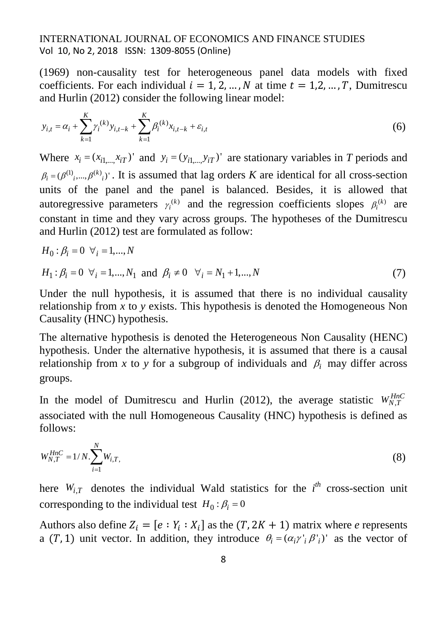(1969) non-causality test for heterogeneous panel data models with fixed coefficients. For each individual  $i = 1, 2, ..., N$  at time  $t = 1, 2, ..., T$ , Dumitrescu and Hurlin (2012) consider the following linear model:

$$
y_{i,t} = \alpha_i + \sum_{k=1}^{K} \gamma_i^{(k)} y_{i,t-k} + \sum_{k=1}^{K} \beta_i^{(k)} x_{i,t-k} + \varepsilon_{i,t}
$$
 (6)

Where  $x_i = (x_{i1} \t x_{iT})'$  and  $y_i = (y_{i1} \t y_{iT})'$  are stationary variables in *T* periods and  $(\beta_i = (\beta^{(1)}, ..., \beta^{(k)})$ . It is assumed that lag orders *K* are identical for all cross-section units of the panel and the panel is balanced. Besides, it is allowed that autoregressive parameters  $\gamma_i^{(k)}$  and the regression coefficients slopes  $\beta_i^{(k)}$  are constant in time and they vary across groups. The hypotheses of the Dumitrescu and Hurlin (2012) test are formulated as follow:

$$
H_0: \beta_i = 0 \ \forall_i = 1, \dots, N
$$

$$
H_1: \beta_i = 0 \ \forall_i = 1, ..., N_1 \text{ and } \beta_i \neq 0 \ \forall_i = N_1 + 1, ..., N
$$
 (7)

Under the null hypothesis, it is assumed that there is no individual causality relationship from *x* to *y* exists. This hypothesis is denoted the Homogeneous Non Causality (HNC) hypothesis.

The alternative hypothesis is denoted the Heterogeneous Non Causality (HENC) hypothesis. Under the alternative hypothesis, it is assumed that there is a causal relationship from *x* to *y* for a subgroup of individuals and  $\beta_i$  may differ across groups.

In the model of Dumitrescu and Hurlin (2012), the average statistic  $W_{N,T}^{HnC}$ associated with the null Homogeneous Causality (HNC) hypothesis is defined as follows:

$$
W_{N,T}^{HnC} = 1/N \sum_{i=1}^{N} W_{i,T},
$$
\t(8)

here  $W_{i,T}$  denotes the individual Wald statistics for the  $i^{th}$  cross-section unit corresponding to the individual test  $H_0 : \beta_i = 0$ 

Authors also define  $Z_i = [e : Y_i : X_i]$  as the  $(T, 2K + 1)$  matrix where *e* represents a (T, 1) unit vector. In addition, they introduce  $\theta_i = (\alpha_i \gamma_i \beta_i')'$  as the vector of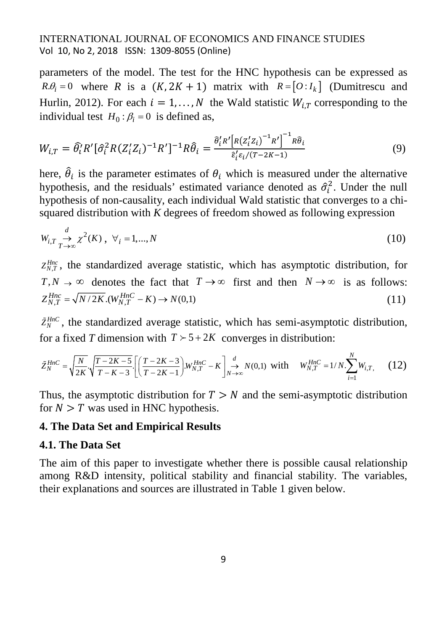parameters of the model. The test for the HNC hypothesis can be expressed as  $R\theta_i = 0$  where *R* is a  $(K, 2K + 1)$  matrix with  $R = [O:I_k]$  (Dumitrescu and Hurlin, 2012). For each  $i = 1, ..., N$  the Wald statistic  $W_{iT}$  corresponding to the individual test  $H_0$ :  $\beta_i = 0$  is defined as,

$$
W_{i,T} = \hat{\theta}_i^{\prime} R^{\prime} [\hat{\sigma}_i^2 R (Z_i^{\prime} Z_i)^{-1} R^{\prime}]^{-1} R \hat{\theta}_i = \frac{\hat{\theta}_i^{\prime} R^{\prime} [R (Z_i^{\prime} Z_i)^{-1} R^{\prime}]^{-1} R \hat{\theta}_i}{\hat{\epsilon}_i^{\prime} \epsilon_i / (T - 2K - 1)}
$$
(9)

here,  $\theta_i$  is the parameter estimates of  $\theta_i$  which is measured under the alternative hypothesis, and the residuals' estimated variance denoted as  $\hat{\sigma}_i^2$ . Under the null hypothesis of non-causality, each individual Wald statistic that converges to a chisquared distribution with *K* degrees of freedom showed as following expression

$$
W_{i,T} \underset{T \to \infty}{\to} \chi^2(K), \ \forall_i = 1,...,N
$$
\n(10)

 $Z_{N,T}^{Hnc}$ , the standardized average statistic, which has asymptotic distribution, for  $T, N \to \infty$  denotes the fact that  $T \to \infty$  first and then  $N \to \infty$  is as follows:  $Z_{NT}^{Hnc} = \sqrt{N/2K} \cdot (W_{NT}^{Hnc} - K) \rightarrow N(0,1)$  (11)

 $\tilde{Z}_N^{HnC}$ , the standardized average statistic, which has semi-asymptotic distribution, for a fixed *T* dimension with  $T \succ 5 + 2K$  converges in distribution:

$$
\tilde{Z}_{N}^{HnC} = \sqrt{\frac{N}{2K}} \sqrt{\frac{T - 2K - 5}{T - K - 3}} \left[ \left( \frac{T - 2K - 3}{T - 2K - 1} \right) W_{N,T}^{HnC} - K \right]_{N \to \infty}^{d} N(0,1) \text{ with } W_{N,T}^{HnC} = 1/N \sum_{i=1}^{N} W_{i,T}, \quad (12)
$$

Thus, the asymptotic distribution for  $T > N$  and the semi-asymptotic distribution for  $N > T$  was used in HNC hypothesis.

#### **4. The Data Set and Empirical Results**

### **4.1. The Data Set**

The aim of this paper to investigate whether there is possible causal relationship among R&D intensity, political stability and financial stability. The variables, their explanations and sources are illustrated in Table 1 given below.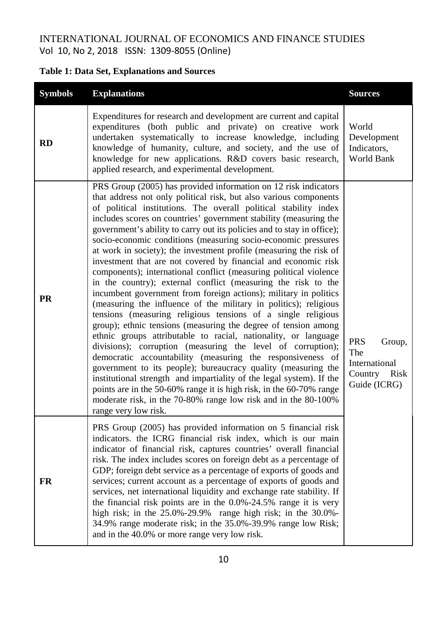# **Table 1: Data Set, Explanations and Sources**

| <b>Symbols</b> | <b>Explanations</b>                                                                                                                                                                                                                                                                                                                                                                                                                                                                                                                                                                                                                                                                                                                                                                                                                                                                                                                                                                                                                                                                                                                                                                                                                                                                                                                                                                                                                                                                       | <b>Sources</b>                                                                  |
|----------------|-------------------------------------------------------------------------------------------------------------------------------------------------------------------------------------------------------------------------------------------------------------------------------------------------------------------------------------------------------------------------------------------------------------------------------------------------------------------------------------------------------------------------------------------------------------------------------------------------------------------------------------------------------------------------------------------------------------------------------------------------------------------------------------------------------------------------------------------------------------------------------------------------------------------------------------------------------------------------------------------------------------------------------------------------------------------------------------------------------------------------------------------------------------------------------------------------------------------------------------------------------------------------------------------------------------------------------------------------------------------------------------------------------------------------------------------------------------------------------------------|---------------------------------------------------------------------------------|
| RD             | Expenditures for research and development are current and capital<br>expenditures (both public and private) on creative work<br>undertaken systematically to increase knowledge, including<br>knowledge of humanity, culture, and society, and the use of<br>knowledge for new applications. R&D covers basic research,<br>applied research, and experimental development.                                                                                                                                                                                                                                                                                                                                                                                                                                                                                                                                                                                                                                                                                                                                                                                                                                                                                                                                                                                                                                                                                                                | World<br>Development<br>Indicators,<br>World Bank                               |
| <b>PR</b>      | PRS Group (2005) has provided information on 12 risk indicators<br>that address not only political risk, but also various components<br>of political institutions. The overall political stability index<br>includes scores on countries' government stability (measuring the<br>government's ability to carry out its policies and to stay in office);<br>socio-economic conditions (measuring socio-economic pressures<br>at work in society); the investment profile (measuring the risk of<br>investment that are not covered by financial and economic risk<br>components); international conflict (measuring political violence<br>in the country); external conflict (measuring the risk to the<br>incumbent government from foreign actions); military in politics<br>(measuring the influence of the military in politics); religious<br>tensions (measuring religious tensions of a single religious<br>group); ethnic tensions (measuring the degree of tension among<br>ethnic groups attributable to racial, nationality, or language<br>divisions); corruption (measuring the level of corruption);<br>democratic accountability (measuring the responsiveness of<br>government to its people); bureaucracy quality (measuring the<br>institutional strength and impartiality of the legal system). If the<br>points are in the 50-60% range it is high risk, in the 60-70% range<br>moderate risk, in the 70-80% range low risk and in the 80-100%<br>range very low risk. | <b>PRS</b><br>Group,<br>The<br>International<br>Country<br>Risk<br>Guide (ICRG) |
| <b>FR</b>      | PRS Group (2005) has provided information on 5 financial risk<br>indicators. the ICRG financial risk index, which is our main<br>indicator of financial risk, captures countries' overall financial<br>risk. The index includes scores on foreign debt as a percentage of<br>GDP; foreign debt service as a percentage of exports of goods and<br>services; current account as a percentage of exports of goods and<br>services, net international liquidity and exchange rate stability. If<br>the financial risk points are in the 0.0%-24.5% range it is very<br>high risk; in the 25.0%-29.9% range high risk; in the 30.0%-<br>34.9% range moderate risk; in the 35.0%-39.9% range low Risk;<br>and in the 40.0% or more range very low risk.                                                                                                                                                                                                                                                                                                                                                                                                                                                                                                                                                                                                                                                                                                                                        |                                                                                 |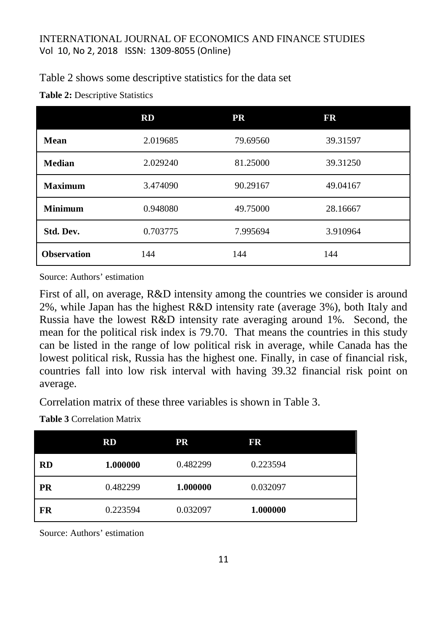### Table 2 shows some descriptive statistics for the data set

| Table 2: Descriptive Statistics |  |
|---------------------------------|--|
|---------------------------------|--|

|                    | RD       | <b>PR</b> | FR       |
|--------------------|----------|-----------|----------|
| <b>Mean</b>        | 2.019685 | 79.69560  | 39.31597 |
| <b>Median</b>      | 2.029240 | 81.25000  | 39.31250 |
| <b>Maximum</b>     | 3.474090 | 90.29167  | 49.04167 |
| <b>Minimum</b>     | 0.948080 | 49.75000  | 28.16667 |
| Std. Dev.          | 0.703775 | 7.995694  | 3.910964 |
| <b>Observation</b> | 144      | 144       | 144      |

Source: Authors' estimation

First of all, on average, R&D intensity among the countries we consider is around 2%, while Japan has the highest R&D intensity rate (average 3%), both Italy and Russia have the lowest R&D intensity rate averaging around 1%. Second, the mean for the political risk index is 79.70. That means the countries in this study can be listed in the range of low political risk in average, while Canada has the lowest political risk, Russia has the highest one. Finally, in case of financial risk, countries fall into low risk interval with having 39.32 financial risk point on average.

Correlation matrix of these three variables is shown in Table 3.

**Table 3** Correlation Matrix

|           | $\mathbf{R}\mathbf{D}$ | PR       | FR       |
|-----------|------------------------|----------|----------|
| <b>RD</b> | 1.000000               | 0.482299 | 0.223594 |
| <b>PR</b> | 0.482299               | 1.000000 | 0.032097 |
| FR        | 0.223594               | 0.032097 | 1.000000 |

Source: Authors' estimation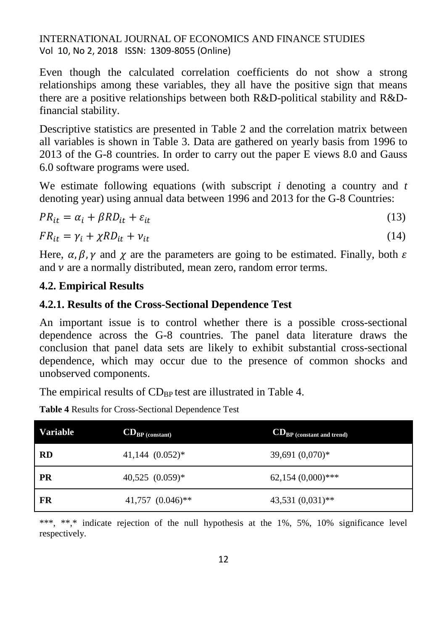Even though the calculated correlation coefficients do not show a strong relationships among these variables, they all have the positive sign that means there are a positive relationships between both R&D-political stability and R&Dfinancial stability.

Descriptive statistics are presented in Table 2 and the correlation matrix between all variables is shown in Table 3. Data are gathered on yearly basis from 1996 to 2013 of the G-8 countries. In order to carry out the paper E views 8.0 and Gauss 6.0 software programs were used.

We estimate following equations (with subscript *i* denoting a country and *t* denoting year) using annual data between 1996 and 2013 for the G-8 Countries:

$$
PR_{it} = \alpha_i + \beta RD_{it} + \varepsilon_{it} \tag{13}
$$

$$
FR_{it} = \gamma_i + \chi RD_{it} + \nu_{it} \tag{14}
$$

Here,  $\alpha$ ,  $\beta$ ,  $\gamma$  and  $\gamma$  are the parameters are going to be estimated. Finally, both  $\varepsilon$ and  $\nu$  are a normally distributed, mean zero, random error terms.

### **4.2. Empirical Results**

# **4.2.1. Results of the Cross-Sectional Dependence Test**

An important issue is to control whether there is a possible cross-sectional dependence across the G-8 countries. The panel data literature draws the conclusion that panel data sets are likely to exhibit substantial cross-sectional dependence, which may occur due to the presence of common shocks and unobserved components.

The empirical results of  $CD_{BP}$  test are illustrated in Table 4.

**Table 4** Results for Cross-Sectional Dependence Test

| <b>Variable</b> | $CD_{BP (constant)}$  | <b>CD</b> <sub>BP</sub> (constant and trend) |
|-----------------|-----------------------|----------------------------------------------|
| <b>RD</b>       | 41,144 $(0.052)*$     | 39,691 $(0,070)*$                            |
| PR              | $40,525$ $(0.059)*$   | $62,154(0,000)$ ***                          |
| FR              | $41,757$ $(0.046)$ ** | $43,531(0,031)$ **                           |

\*\*\*, \*\*,\* indicate rejection of the null hypothesis at the 1%, 5%, 10% significance level respectively.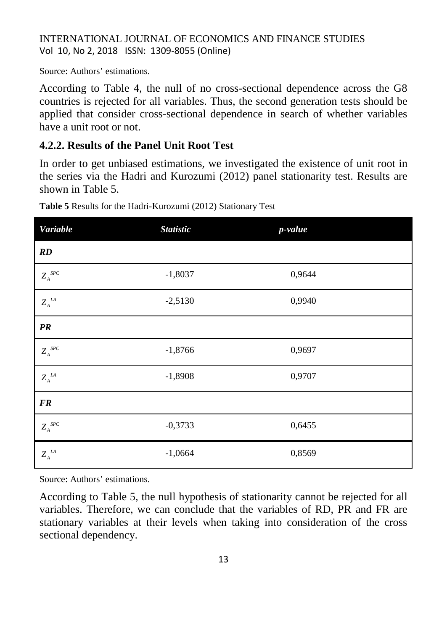Source: Authors' estimations.

According to Table 4, the null of no cross-sectional dependence across the G8 countries is rejected for all variables. Thus, the second generation tests should be applied that consider cross-sectional dependence in search of whether variables have a unit root or not.

# **4.2.2. Results of the Panel Unit Root Test**

In order to get unbiased estimations, we investigated the existence of unit root in the series via the Hadri and Kurozumi (2012) panel stationarity test. Results are shown in Table 5.

| <b>Variable</b>                      | <b>Statistic</b> | p-value |  |
|--------------------------------------|------------------|---------|--|
| $\mathbb{R}D$                        |                  |         |  |
| $Z_{\scriptscriptstyle A}^{\ \,SPC}$ | $-1,8037$        | 0,9644  |  |
| $Z_{\scriptscriptstyle A}^{\;\;IA}$  | $-2,5130$        | 0,9940  |  |
| PR                                   |                  |         |  |
| $Z_{A}^{\ SPC}$                      | $-1,8766$        | 0,9697  |  |
| $Z_{\scriptscriptstyle A}^{\;\;IA}$  | $-1,8908$        | 0,9707  |  |
| <b>FR</b>                            |                  |         |  |
| $Z_{\scriptscriptstyle A}^{\ \,SPC}$ | $-0,3733$        | 0,6455  |  |
| $Z_{\scriptscriptstyle A}^{\;\;IA}$  | $-1,0664$        | 0,8569  |  |

**Table 5** Results for the Hadri-Kurozumi (2012) Stationary Test

Source: Authors' estimations.

According to Table 5, the null hypothesis of stationarity cannot be rejected for all variables. Therefore, we can conclude that the variables of RD, PR and FR are stationary variables at their levels when taking into consideration of the cross sectional dependency.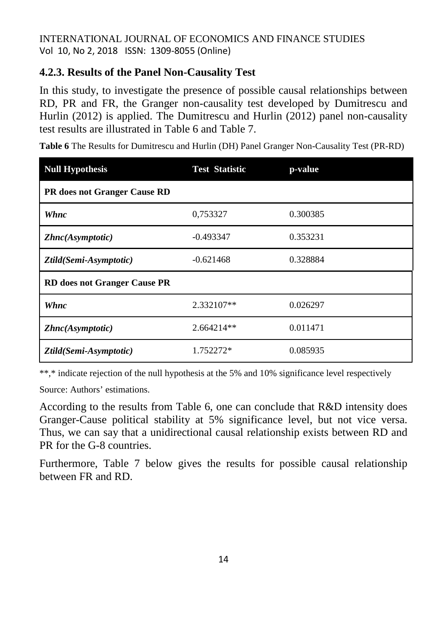# **4.2.3. Results of the Panel Non-Causality Test**

In this study, to investigate the presence of possible causal relationships between RD, PR and FR, the Granger non-causality test developed by Dumitrescu and Hurlin (2012) is applied. The Dumitrescu and Hurlin (2012) panel non-causality test results are illustrated in Table 6 and Table 7.

**Table 6** The Results for Dumitrescu and Hurlin (DH) Panel Granger Non-Causality Test (PR-RD)

| <b>Null Hypothesis</b>              | <b>Test Statistic</b> | p-value  |  |  |  |  |
|-------------------------------------|-----------------------|----------|--|--|--|--|
| PR does not Granger Cause RD        |                       |          |  |  |  |  |
| Whnc                                | 0,753327              | 0.300385 |  |  |  |  |
| Zhnc(Asymptotic)                    | $-0.493347$           | 0.353231 |  |  |  |  |
| Ztild(Semi-Asymptotic)              | $-0.621468$           | 0.328884 |  |  |  |  |
| <b>RD</b> does not Granger Cause PR |                       |          |  |  |  |  |
| Whnc                                | 2.332107**            | 0.026297 |  |  |  |  |
| Zhnc(Asymptotic)                    | $2.664214**$          | 0.011471 |  |  |  |  |
| Ztild(Semi-Asymptotic)              | 1.752272*             | 0.085935 |  |  |  |  |

\*\*,\* indicate rejection of the null hypothesis at the 5% and 10% significance level respectively

Source: Authors' estimations.

According to the results from Table 6, one can conclude that R&D intensity does Granger-Cause political stability at 5% significance level, but not vice versa. Thus, we can say that a unidirectional causal relationship exists between RD and PR for the G-8 countries.

Furthermore, Table 7 below gives the results for possible causal relationship between FR and RD.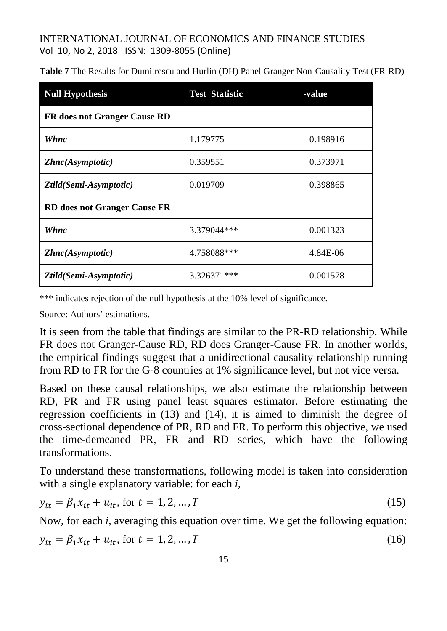| <b>Null Hypothesis</b>              | <b>Test Statistic</b> | <b>value</b> |
|-------------------------------------|-----------------------|--------------|
| <b>FR</b> does not Granger Cause RD |                       |              |
| Whnc                                | 1.179775              | 0.198916     |
| Zhnc(Asymptotic)                    | 0.359551              | 0.373971     |
| Ztild(Semi-Asymptotic)              | 0.019709              | 0.398865     |
| <b>RD</b> does not Granger Cause FR |                       |              |
| Whnc                                | 3.379044***           | 0.001323     |
| Zhnc(Asymptotic)                    | 4.758088***           | 4.84E-06     |
| Ztild(Semi-Asymptotic)              | 3.326371***           | 0.001578     |

**Table 7** The Results for Dumitrescu and Hurlin (DH) Panel Granger Non-Causality Test (FR-RD)

\*\*\* indicates rejection of the null hypothesis at the 10% level of significance.

Source: Authors' estimations.

It is seen from the table that findings are similar to the PR-RD relationship. While FR does not Granger-Cause RD, RD does Granger-Cause FR. In another worlds, the empirical findings suggest that a unidirectional causality relationship running from RD to FR for the G-8 countries at 1% significance level, but not vice versa.

Based on these causal relationships, we also estimate the relationship between RD, PR and FR using panel least squares estimator. Before estimating the regression coefficients in (13) and (14), it is aimed to diminish the degree of cross-sectional dependence of PR, RD and FR. To perform this objective, we used the time-demeaned PR, FR and RD series, which have the following transformations.

To understand these transformations, following model is taken into consideration with a single explanatory variable: for each *i*,

$$
y_{it} = \beta_1 x_{it} + u_{it}, \text{ for } t = 1, 2, ..., T
$$
 (15)

Now, for each *i*, averaging this equation over time. We get the following equation:

$$
\overline{y}_{it} = \beta_1 \overline{x}_{it} + \overline{u}_{it}, \text{ for } t = 1, 2, \dots, T
$$
\n<sup>(16)</sup>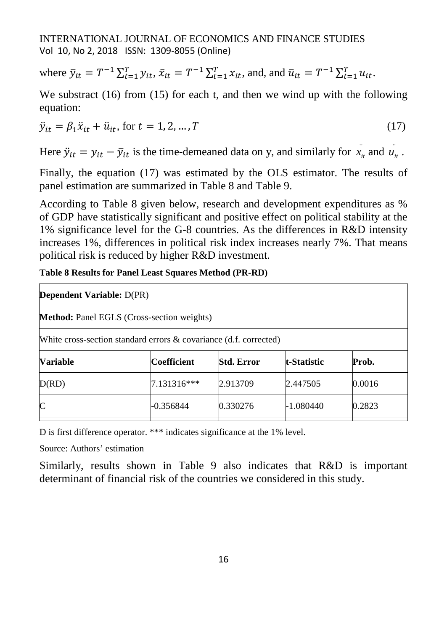where  $\bar{y}_{it} = T^{-1} \sum_{t=1}^{T} y_{it}, \bar{x}_{it} = T^{-1} \sum_{t=1}^{T} x_{it}$ , and, and  $\bar{u}_{it} = T^{-1} \sum_{t=1}^{T} u_{it}$ .

We substract (16) from (15) for each t, and then we wind up with the following equation:

$$
\ddot{y}_{it} = \beta_1 \ddot{x}_{it} + \ddot{u}_{it}, \text{ for } t = 1, 2, ..., T
$$
\n(17)

Here  $\ddot{y}_{it} = y_{it} - \bar{y}_{it}$  is the time-demeaned data on y, and similarly for  $\ddot{x}_{it}$  and  $\ddot{u}_{it}$ .

Finally, the equation (17) was estimated by the OLS estimator. The results of panel estimation are summarized in Table 8 and Table 9.

According to Table 8 given below, research and development expenditures as % of GDP have statistically significant and positive effect on political stability at the 1% significance level for the G-8 countries. As the differences in R&D intensity increases 1%, differences in political risk index increases nearly 7%. That means political risk is reduced by higher R&D investment.

**Table 8 Results for Panel Least Squares Method (PR-RD)**

| <b>Dependent Variable: D(PR)</b>                                     |                                                   |                   |                    |        |  |
|----------------------------------------------------------------------|---------------------------------------------------|-------------------|--------------------|--------|--|
|                                                                      | <b>Method:</b> Panel EGLS (Cross-section weights) |                   |                    |        |  |
| White cross-section standard errors $\&$ covariance (d.f. corrected) |                                                   |                   |                    |        |  |
| <b>Variable</b>                                                      | Coefficient                                       | <b>Std. Error</b> | <b>t-Statistic</b> | Prob.  |  |
| D(RD)                                                                | 7.131316***                                       | 2.913709          | 2.447505           | 0.0016 |  |
| $\mathsf{C}$                                                         | $-0.356844$                                       | 0.330276          | -1.080440          | 0.2823 |  |
|                                                                      |                                                   |                   |                    |        |  |

D is first difference operator. \*\*\* indicates significance at the 1% level.

Source: Authors' estimation

Similarly, results shown in Table 9 also indicates that R&D is important determinant of financial risk of the countries we considered in this study.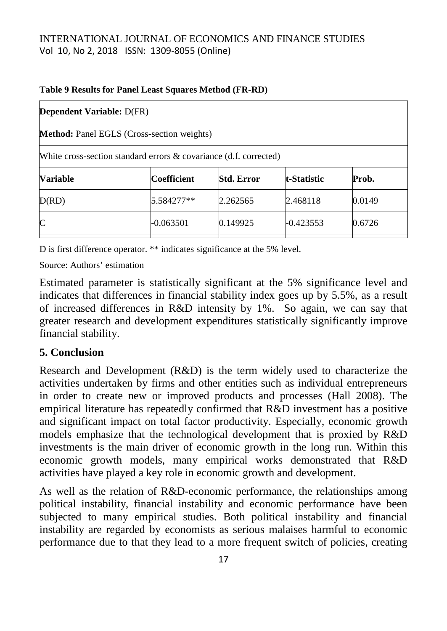| <b>Dependent Variable: D(FR)</b>                                     |             |                   |             |        |  |
|----------------------------------------------------------------------|-------------|-------------------|-------------|--------|--|
| <b>Method:</b> Panel EGLS (Cross-section weights)                    |             |                   |             |        |  |
| White cross-section standard errors $\&$ covariance (d.f. corrected) |             |                   |             |        |  |
| <b>Variable</b>                                                      | Coefficient | <b>Std. Error</b> | t-Statistic | Prob.  |  |
| D(RD)                                                                | 5.584277**  | 2.262565          | 2.468118    | 0.0149 |  |
| $\mathsf{C}$                                                         | -0.063501   | 0.149925          | $-0.423553$ | 0.6726 |  |

#### **Table 9 Results for Panel Least Squares Method (FR-RD)**

D is first difference operator. \*\* indicates significance at the 5% level.

Source: Authors' estimation

Estimated parameter is statistically significant at the 5% significance level and indicates that differences in financial stability index goes up by 5.5%, as a result of increased differences in R&D intensity by 1%. So again, we can say that greater research and development expenditures statistically significantly improve financial stability.

# **5. Conclusion**

Research and Development (R&D) is the term widely used to characterize the activities undertaken by firms and other entities such as individual entrepreneurs in order to create new or improved products and processes (Hall 2008). The empirical literature has repeatedly confirmed that R&D investment has a positive and significant impact on total factor productivity. Especially, economic growth models emphasize that the technological development that is proxied by R&D investments is the main driver of economic growth in the long run. Within this economic growth models, many empirical works demonstrated that R&D activities have played a key role in economic growth and development.

As well as the relation of R&D-economic performance, the relationships among political instability, financial instability and economic performance have been subjected to many empirical studies. Both political instability and financial instability are regarded by economists as serious malaises harmful to economic performance due to that they lead to a more frequent switch of policies, creating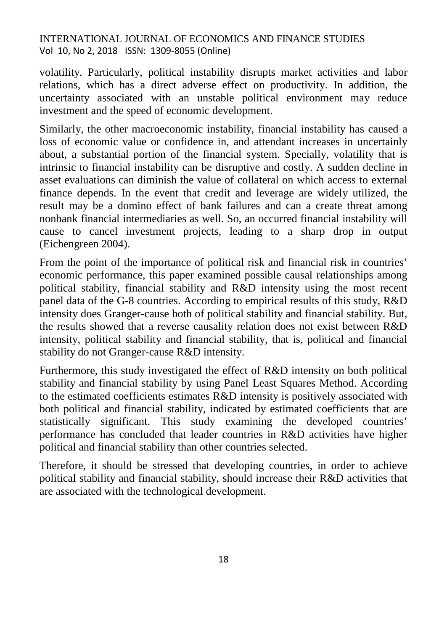volatility. Particularly, political instability disrupts market activities and labor relations, which has a direct adverse effect on productivity. In addition, the uncertainty associated with an unstable political environment may reduce investment and the speed of economic development.

Similarly, the other macroeconomic instability, financial instability has caused a loss of economic value or confidence in, and attendant increases in uncertainly about, a substantial portion of the financial system. Specially, volatility that is intrinsic to financial instability can be disruptive and costly. A sudden decline in asset evaluations can diminish the value of collateral on which access to external finance depends. In the event that credit and leverage are widely utilized, the result may be a domino effect of bank failures and can a create threat among nonbank financial intermediaries as well. So, an occurred financial instability will cause to cancel investment projects, leading to a sharp drop in output (Eichengreen 2004).

From the point of the importance of political risk and financial risk in countries' economic performance, this paper examined possible causal relationships among political stability, financial stability and R&D intensity using the most recent panel data of the G-8 countries. According to empirical results of this study, R&D intensity does Granger-cause both of political stability and financial stability. But, the results showed that a reverse causality relation does not exist between R&D intensity, political stability and financial stability, that is, political and financial stability do not Granger-cause R&D intensity.

Furthermore, this study investigated the effect of R&D intensity on both political stability and financial stability by using Panel Least Squares Method. According to the estimated coefficients estimates R&D intensity is positively associated with both political and financial stability, indicated by estimated coefficients that are statistically significant. This study examining the developed countries' performance has concluded that leader countries in R&D activities have higher political and financial stability than other countries selected.

Therefore, it should be stressed that developing countries, in order to achieve political stability and financial stability, should increase their R&D activities that are associated with the technological development.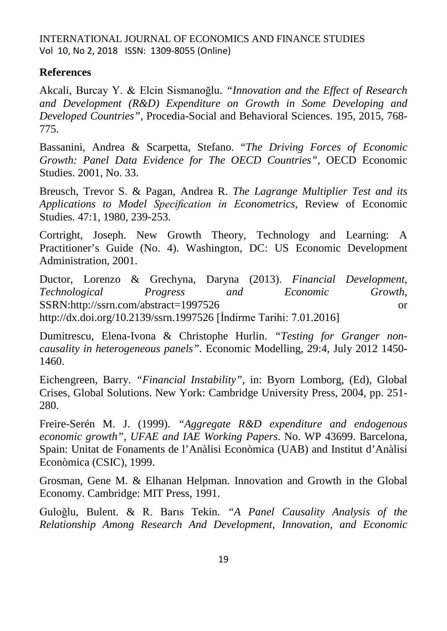#### **References**

Akcali, Burcay Y. & Elcin Sismanoğlu. *"Innovation and the Effect of Research and Development (R&D) Expenditure on Growth in Some Developing and Developed Countries"*, Procedia-Social and Behavioral Sciences. 195, 2015, 768- 775.

Bassanini, Andrea & Scarpetta, Stefano. "*The Driving Forces of Economic Growth: Panel Data Evidence for The OECD Countries",* OECD Economic Studies. 2001, No. 33.

Breusch, Trevor S. & Pagan, Andrea R. *The Lagrange Multiplier Test and its Applications to Model Specification in Econometrics*, Review of Economic Studies. 47:1, 1980, 239-253.

Cortright, Joseph. New Growth Theory, Technology and Learning: A Practitioner's Guide (No. 4). Washington, DC: US Economic Development Administration, 2001.

Ductor, Lorenzo & Grechyna, Daryna (2013). *Financial Development, Technological Progress and Economic Growth*, SSRN[:http://ssrn.com/abstract=1997526](http://ssrn.com/abstract=1997526) or <http://dx.doi.org/10.2139/ssrn.1997526> [İndirme Tarihi: 7.01.2016]

Dumitrescu, Elena-Ivona & Christophe Hurlin. *"Testing for Granger noncausality in heterogeneous panels".* Economic Modelling, 29:4, July 2012 1450- 1460.

Eichengreen, Barry. *"Financial Instability"*, in: Byorn Lomborg, (Ed), Global Crises, Global Solutions. New York: Cambridge University Press, 2004, pp. 251- 280.

Freire-Serén M. J. (1999). *"Aggregate R&D expenditure and endogenous economic growth"*, *UFAE and IAE Working Papers*. No. WP 43699. Barcelona, Spain: Unitat de Fonaments de l'Anàlisi Econòmica (UAB) and Institut d'Anàlisi Econòmica (CSIC), 1999.

Grosman, Gene M. & Elhanan Helpman. Innovation and Growth in the Global Economy. Cambridge: MIT Press, 1991.

Guloğlu, Bulent. & R. Barıs Tekin. *"A Panel Causality Analysis of the Relationship Among Research And Development, Innovation, and Economic*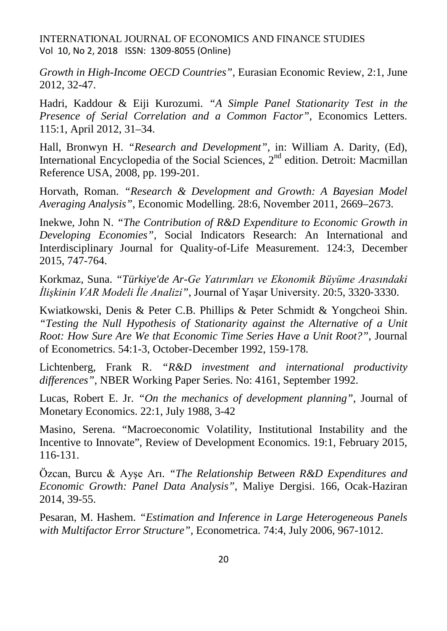*Growth in High-Income OECD Countries"*, Eurasian Economic Review, 2:1, June 2012, 32-47.

Hadri, Kaddour & Eiji Kurozumi. *"A Simple Panel Stationarity Test in the Presence of Serial Correlation and a Common Factor",* Economics Letters. 115:1, April 2012, 31–34.

Hall, Bronwyn H. *["Research and Development"](https://eml.berkeley.edu/%7Ebhhall/papers/BHH06_IESS_R&D.pdf)*, in: William A. Darity, (Ed), International Encyclopedia of the Social Sciences,  $2<sup>nd</sup>$  edition. Detroit: Macmillan Reference USA, 2008, pp. 199-201.

Horvath, Roman. *"Research & Development and Growth: A Bayesian Model Averaging Analysis"*, Economic Modelling. 28:6, November 2011, 2669–2673.

Inekwe, John N. *"The Contribution of R&D Expenditure to Economic Growth in Developing Economies"*, Social Indicators Research: An International and Interdisciplinary Journal for Quality-of-Life Measurement. 124:3, December 2015, 747-764.

Korkmaz, Suna. *"Türkiye'de Ar-Ge Yatırımları ve Ekonomik Büyüme Arasındaki İlişkinin VAR Modeli İle Analizi"*, Journal of Yaşar University. 20:5, 3320‐3330.

Kwiatkowski, Denis & Peter C.B. Phillips & Peter Schmidt & Yongcheoi Shin. *"Testing the Null Hypothesis of Stationarity against the Alternative of a Unit Root: How Sure Are We that Economic Time Series Have a Unit Root?"*, Journal of Econometrics. 54:1-3, October-December 1992, 159-178.

Lichtenberg, Frank R. *"R&D investment and international productivity differences"*, NBER Working Paper Series. No: 4161, September 1992.

Lucas, Robert E. Jr. *"On the mechanics of development planning"*, Journal of Monetary Economics. 22:1, July 1988, 3-42

Masino, Serena. "Macroeconomic Volatility, Institutional Instability and the Incentive to Innovate", Review of Development Economics. 19:1, February 2015, 116-131.

Özcan, Burcu & Ayşe Arı. *"The Relationship Between R&D Expenditures and Economic Growth: Panel Data Analysis"*, Maliye Dergisi. 166, Ocak-Haziran 2014, 39-55.

Pesaran, M. Hashem. *"Estimation and Inference in Large Heterogeneous Panels with Multifactor Error Structure",* Econometrica. 74:4, July 2006, 967-1012.